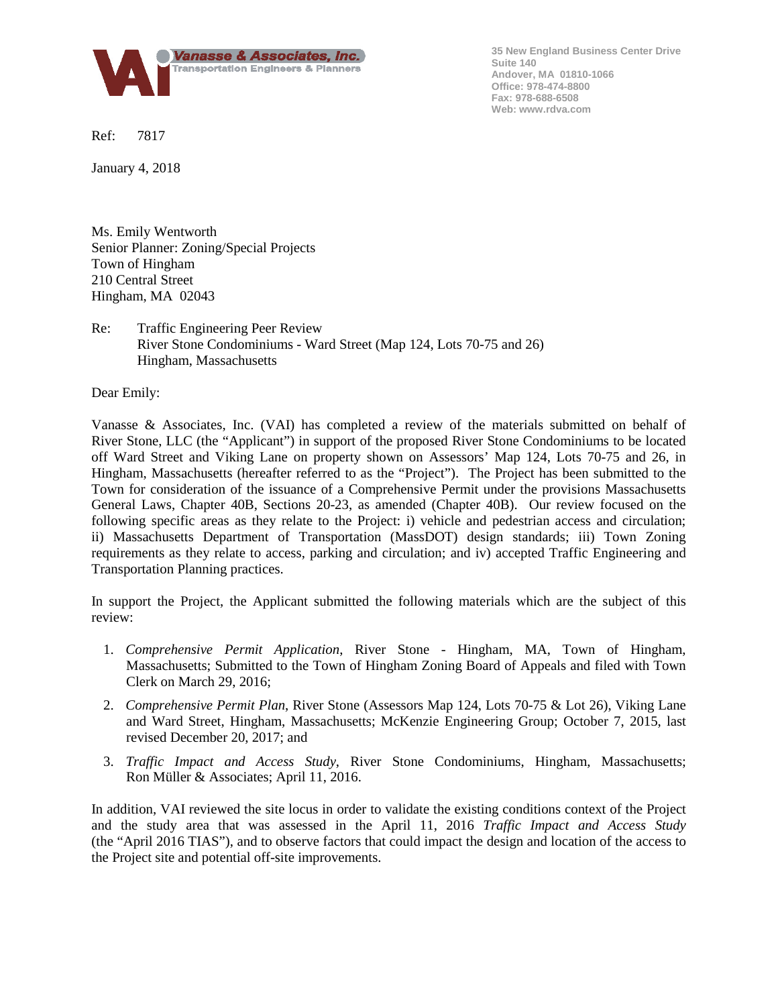

**35 New England Business Center Drive Suite 140 Andover, MA 01810-1066 Office: 978-474-8800 Fax: 978-688-6508 Web: www.rdva.com**

Ref: 7817

January 4, 2018

Ms. Emily Wentworth Senior Planner: Zoning/Special Projects Town of Hingham 210 Central Street Hingham, MA 02043

Re: Traffic Engineering Peer Review River Stone Condominiums - Ward Street (Map 124, Lots 70-75 and 26) Hingham, Massachusetts

Dear Emily:

Vanasse & Associates, Inc. (VAI) has completed a review of the materials submitted on behalf of River Stone, LLC (the "Applicant") in support of the proposed River Stone Condominiums to be located off Ward Street and Viking Lane on property shown on Assessors' Map 124, Lots 70-75 and 26, in Hingham, Massachusetts (hereafter referred to as the "Project"). The Project has been submitted to the Town for consideration of the issuance of a Comprehensive Permit under the provisions Massachusetts General Laws, Chapter 40B, Sections 20-23, as amended (Chapter 40B). Our review focused on the following specific areas as they relate to the Project: i) vehicle and pedestrian access and circulation; ii) Massachusetts Department of Transportation (MassDOT) design standards; iii) Town Zoning requirements as they relate to access, parking and circulation; and iv) accepted Traffic Engineering and Transportation Planning practices.

In support the Project, the Applicant submitted the following materials which are the subject of this review:

- 1. *Comprehensive Permit Application*, River Stone Hingham, MA, Town of Hingham, Massachusetts; Submitted to the Town of Hingham Zoning Board of Appeals and filed with Town Clerk on March 29, 2016;
- 2. *Comprehensive Permit Plan*, River Stone (Assessors Map 124, Lots 70-75 & Lot 26), Viking Lane and Ward Street, Hingham, Massachusetts; McKenzie Engineering Group; October 7, 2015, last revised December 20, 2017; and
- 3. *Traffic Impact and Access Study*, River Stone Condominiums, Hingham, Massachusetts; Ron Müller & Associates; April 11, 2016.

In addition, VAI reviewed the site locus in order to validate the existing conditions context of the Project and the study area that was assessed in the April 11, 2016 *Traffic Impact and Access Study* (the "April 2016 TIAS"), and to observe factors that could impact the design and location of the access to the Project site and potential off-site improvements.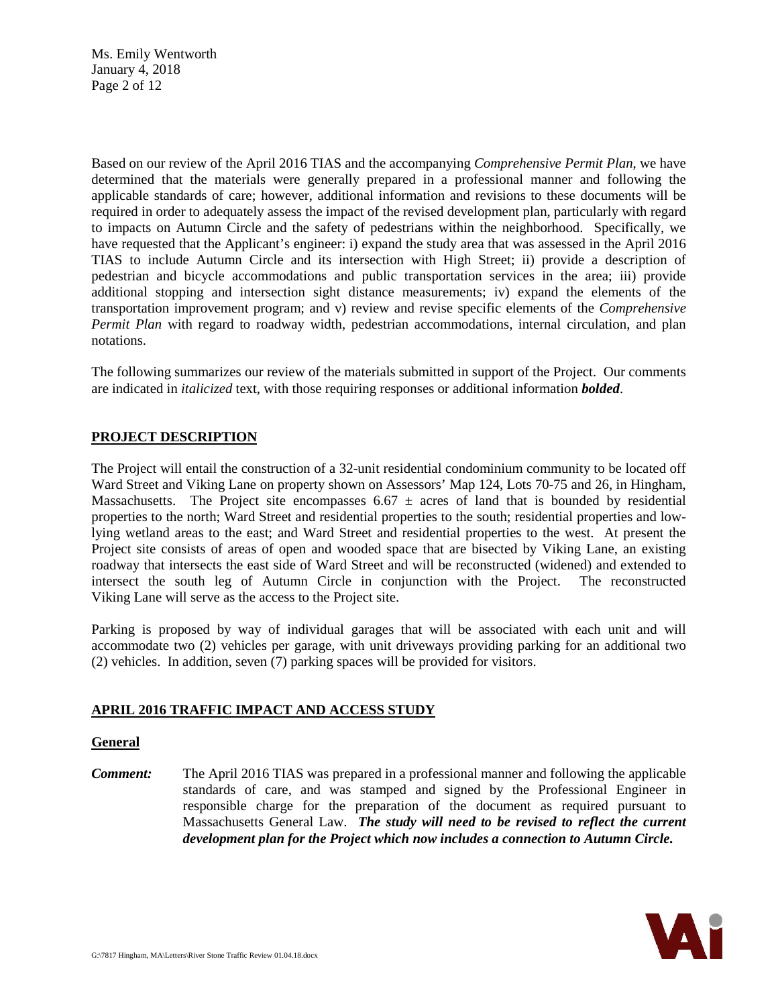Ms. Emily Wentworth January 4, 2018 Page 2 of 12

Based on our review of the April 2016 TIAS and the accompanying *Comprehensive Permit Plan*, we have determined that the materials were generally prepared in a professional manner and following the applicable standards of care; however, additional information and revisions to these documents will be required in order to adequately assess the impact of the revised development plan, particularly with regard to impacts on Autumn Circle and the safety of pedestrians within the neighborhood. Specifically, we have requested that the Applicant's engineer: i) expand the study area that was assessed in the April 2016 TIAS to include Autumn Circle and its intersection with High Street; ii) provide a description of pedestrian and bicycle accommodations and public transportation services in the area; iii) provide additional stopping and intersection sight distance measurements; iv) expand the elements of the transportation improvement program; and v) review and revise specific elements of the *Comprehensive Permit Plan* with regard to roadway width, pedestrian accommodations, internal circulation, and plan notations.

The following summarizes our review of the materials submitted in support of the Project. Our comments are indicated in *italicized* text, with those requiring responses or additional information *bolded*.

# **PROJECT DESCRIPTION**

The Project will entail the construction of a 32-unit residential condominium community to be located off Ward Street and Viking Lane on property shown on Assessors' Map 124, Lots 70-75 and 26, in Hingham, Massachusetts. The Project site encompasses 6.67  $\pm$  acres of land that is bounded by residential properties to the north; Ward Street and residential properties to the south; residential properties and lowlying wetland areas to the east; and Ward Street and residential properties to the west. At present the Project site consists of areas of open and wooded space that are bisected by Viking Lane, an existing roadway that intersects the east side of Ward Street and will be reconstructed (widened) and extended to intersect the south leg of Autumn Circle in conjunction with the Project. The reconstructed Viking Lane will serve as the access to the Project site.

Parking is proposed by way of individual garages that will be associated with each unit and will accommodate two (2) vehicles per garage, with unit driveways providing parking for an additional two (2) vehicles. In addition, seven (7) parking spaces will be provided for visitors.

## **APRIL 2016 TRAFFIC IMPACT AND ACCESS STUDY**

#### **General**

*Comment:* The April 2016 TIAS was prepared in a professional manner and following the applicable standards of care, and was stamped and signed by the Professional Engineer in responsible charge for the preparation of the document as required pursuant to Massachusetts General Law. *The study will need to be revised to reflect the current development plan for the Project which now includes a connection to Autumn Circle.*

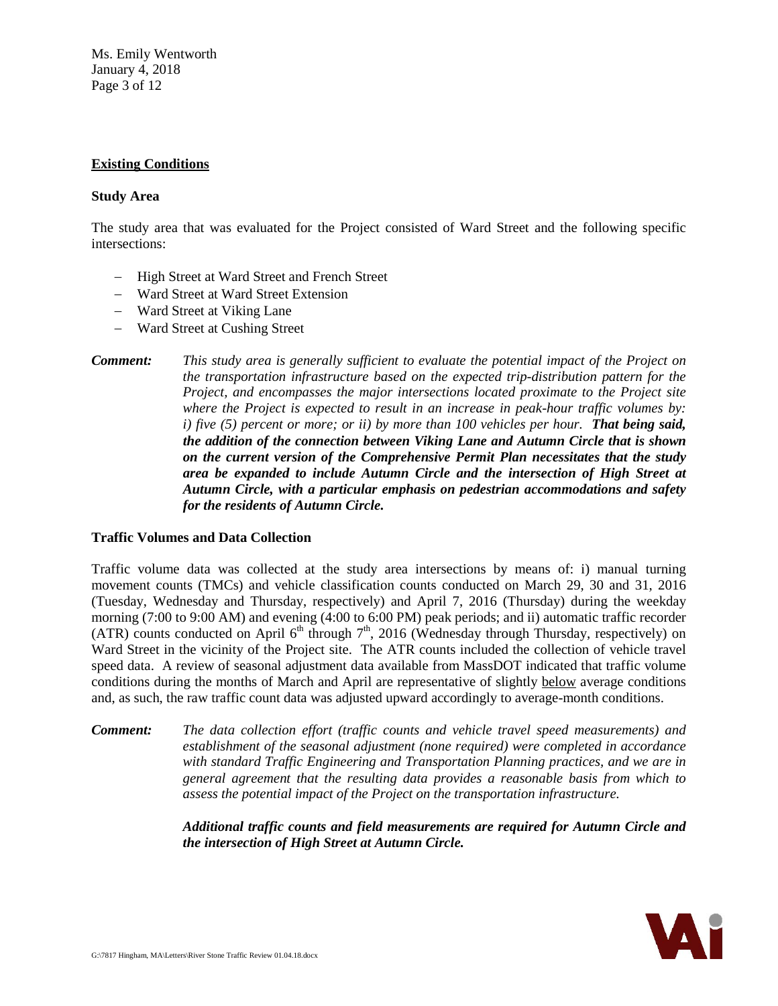Ms. Emily Wentworth January 4, 2018 Page 3 of 12

## **Existing Conditions**

# **Study Area**

The study area that was evaluated for the Project consisted of Ward Street and the following specific intersections:

- − High Street at Ward Street and French Street
- − Ward Street at Ward Street Extension
- − Ward Street at Viking Lane
- − Ward Street at Cushing Street
- *Comment: This study area is generally sufficient to evaluate the potential impact of the Project on the transportation infrastructure based on the expected trip-distribution pattern for the Project, and encompasses the major intersections located proximate to the Project site where the Project is expected to result in an increase in peak-hour traffic volumes by: i)* five (5) percent or more; or *ii)* by more than 100 vehicles per hour. **That being said,** *the addition of the connection between Viking Lane and Autumn Circle that is shown on the current version of the Comprehensive Permit Plan necessitates that the study area be expanded to include Autumn Circle and the intersection of High Street at Autumn Circle, with a particular emphasis on pedestrian accommodations and safety for the residents of Autumn Circle.*

## **Traffic Volumes and Data Collection**

Traffic volume data was collected at the study area intersections by means of: i) manual turning movement counts (TMCs) and vehicle classification counts conducted on March 29, 30 and 31, 2016 (Tuesday, Wednesday and Thursday, respectively) and April 7, 2016 (Thursday) during the weekday morning (7:00 to 9:00 AM) and evening (4:00 to 6:00 PM) peak periods; and ii) automatic traffic recorder (ATR) counts conducted on April  $6<sup>th</sup>$  through  $7<sup>th</sup>$ , 2016 (Wednesday through Thursday, respectively) on Ward Street in the vicinity of the Project site. The ATR counts included the collection of vehicle travel speed data. A review of seasonal adjustment data available from MassDOT indicated that traffic volume conditions during the months of March and April are representative of slightly below average conditions and, as such, the raw traffic count data was adjusted upward accordingly to average-month conditions.

*Comment: The data collection effort (traffic counts and vehicle travel speed measurements) and establishment of the seasonal adjustment (none required) were completed in accordance with standard Traffic Engineering and Transportation Planning practices, and we are in general agreement that the resulting data provides a reasonable basis from which to assess the potential impact of the Project on the transportation infrastructure.*

> *Additional traffic counts and field measurements are required for Autumn Circle and the intersection of High Street at Autumn Circle.*

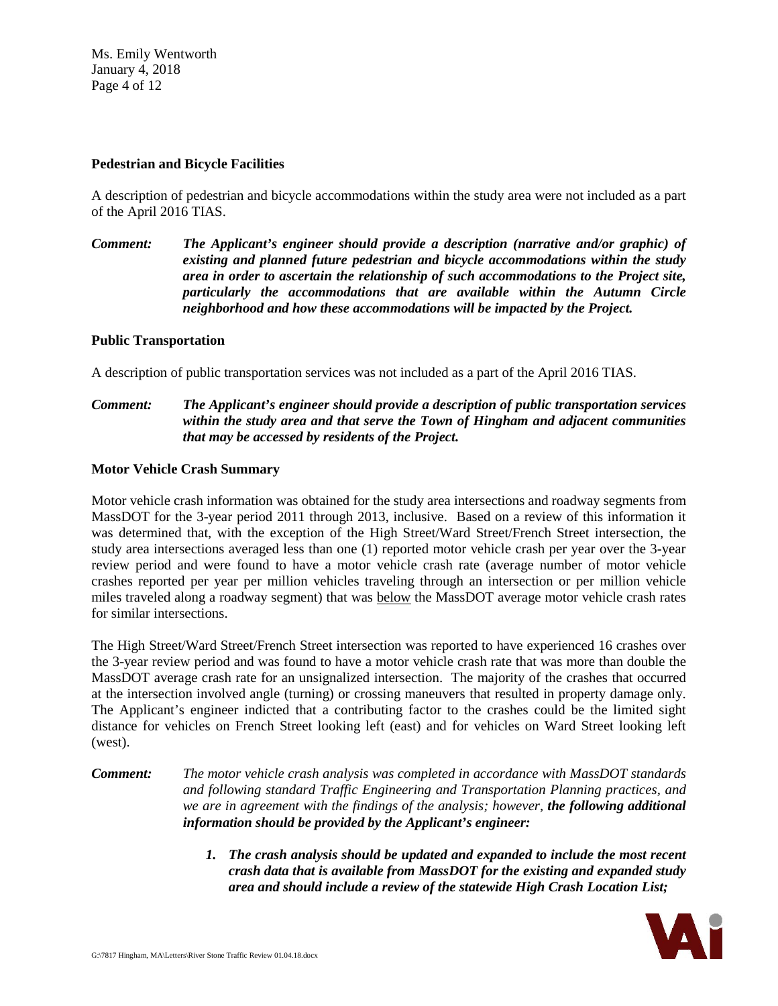Ms. Emily Wentworth January 4, 2018 Page 4 of 12

#### **Pedestrian and Bicycle Facilities**

A description of pedestrian and bicycle accommodations within the study area were not included as a part of the April 2016 TIAS.

*Comment: The Applicant's engineer should provide a description (narrative and/or graphic) of existing and planned future pedestrian and bicycle accommodations within the study area in order to ascertain the relationship of such accommodations to the Project site, particularly the accommodations that are available within the Autumn Circle neighborhood and how these accommodations will be impacted by the Project.*

## **Public Transportation**

A description of public transportation services was not included as a part of the April 2016 TIAS.

# *Comment: The Applicant's engineer should provide a description of public transportation services within the study area and that serve the Town of Hingham and adjacent communities that may be accessed by residents of the Project.*

#### **Motor Vehicle Crash Summary**

Motor vehicle crash information was obtained for the study area intersections and roadway segments from MassDOT for the 3-year period 2011 through 2013, inclusive. Based on a review of this information it was determined that, with the exception of the High Street/Ward Street/French Street intersection, the study area intersections averaged less than one (1) reported motor vehicle crash per year over the 3-year review period and were found to have a motor vehicle crash rate (average number of motor vehicle crashes reported per year per million vehicles traveling through an intersection or per million vehicle miles traveled along a roadway segment) that was below the MassDOT average motor vehicle crash rates for similar intersections.

The High Street/Ward Street/French Street intersection was reported to have experienced 16 crashes over the 3-year review period and was found to have a motor vehicle crash rate that was more than double the MassDOT average crash rate for an unsignalized intersection. The majority of the crashes that occurred at the intersection involved angle (turning) or crossing maneuvers that resulted in property damage only. The Applicant's engineer indicted that a contributing factor to the crashes could be the limited sight distance for vehicles on French Street looking left (east) and for vehicles on Ward Street looking left (west).

#### *Comment: The motor vehicle crash analysis was completed in accordance with MassDOT standards and following standard Traffic Engineering and Transportation Planning practices, and we are in agreement with the findings of the analysis; however, the following additional information should be provided by the Applicant's engineer:*

*1. The crash analysis should be updated and expanded to include the most recent crash data that is available from MassDOT for the existing and expanded study area and should include a review of the statewide High Crash Location List;*

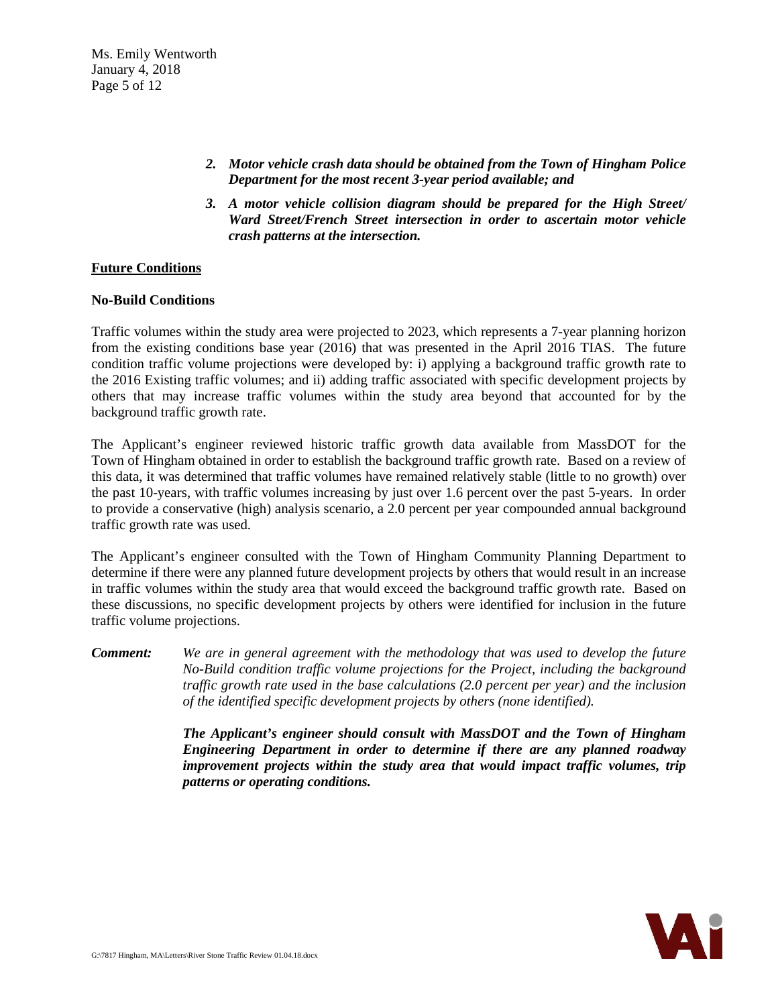Ms. Emily Wentworth January 4, 2018 Page 5 of 12

- *2. Motor vehicle crash data should be obtained from the Town of Hingham Police Department for the most recent 3-year period available; and*
- *3. A motor vehicle collision diagram should be prepared for the High Street/ Ward Street/French Street intersection in order to ascertain motor vehicle crash patterns at the intersection.*

#### **Future Conditions**

#### **No-Build Conditions**

Traffic volumes within the study area were projected to 2023, which represents a 7-year planning horizon from the existing conditions base year (2016) that was presented in the April 2016 TIAS. The future condition traffic volume projections were developed by: i) applying a background traffic growth rate to the 2016 Existing traffic volumes; and ii) adding traffic associated with specific development projects by others that may increase traffic volumes within the study area beyond that accounted for by the background traffic growth rate.

The Applicant's engineer reviewed historic traffic growth data available from MassDOT for the Town of Hingham obtained in order to establish the background traffic growth rate. Based on a review of this data, it was determined that traffic volumes have remained relatively stable (little to no growth) over the past 10-years, with traffic volumes increasing by just over 1.6 percent over the past 5-years. In order to provide a conservative (high) analysis scenario, a 2.0 percent per year compounded annual background traffic growth rate was used.

The Applicant's engineer consulted with the Town of Hingham Community Planning Department to determine if there were any planned future development projects by others that would result in an increase in traffic volumes within the study area that would exceed the background traffic growth rate. Based on these discussions, no specific development projects by others were identified for inclusion in the future traffic volume projections.

*Comment: We are in general agreement with the methodology that was used to develop the future No-Build condition traffic volume projections for the Project, including the background traffic growth rate used in the base calculations (2.0 percent per year) and the inclusion of the identified specific development projects by others (none identified).*

> *The Applicant's engineer should consult with MassDOT and the Town of Hingham Engineering Department in order to determine if there are any planned roadway improvement projects within the study area that would impact traffic volumes, trip patterns or operating conditions.*

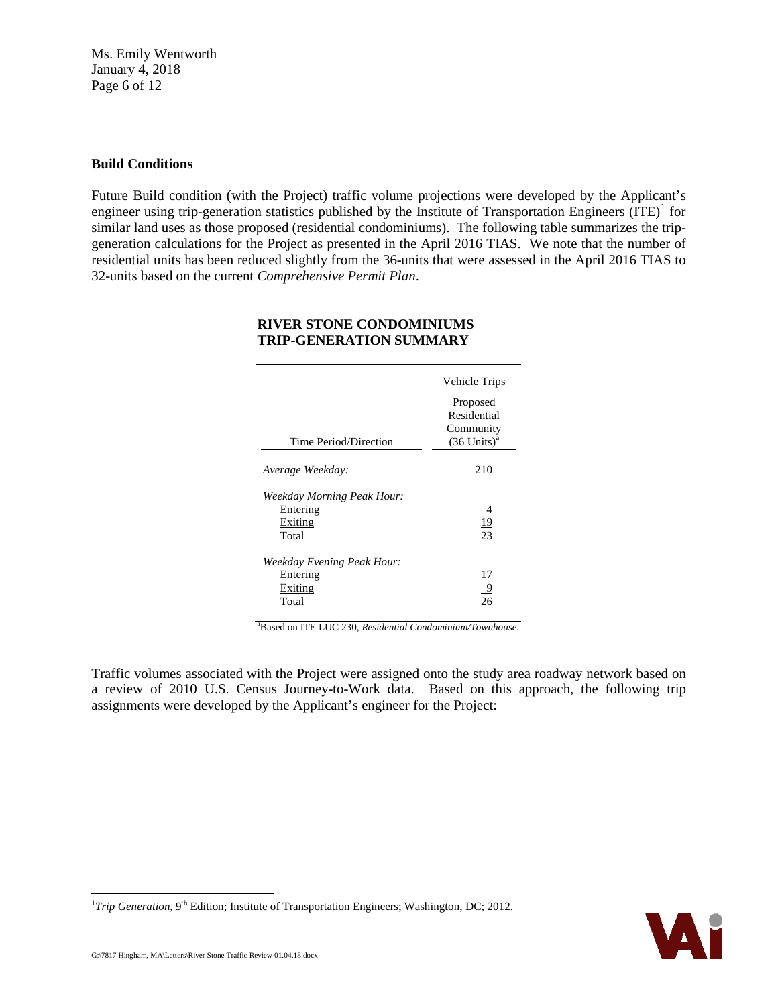Ms. Emily Wentworth January 4, 2018 Page 6 of 12

## **Build Conditions**

Future Build condition (with the Project) traffic volume projections were developed by the Applicant's engineer using trip-generation statistics published by the Institute of Transportation Engineers  $(ITE)^1$  $(ITE)^1$  for similar land uses as those proposed (residential condominiums). The following table summarizes the tripgeneration calculations for the Project as presented in the April 2016 TIAS. We note that the number of residential units has been reduced slightly from the 36-units that were assessed in the April 2016 TIAS to 32-units based on the current *Comprehensive Permit Plan*.

|                                                            | Vehicle Trips                                                     |
|------------------------------------------------------------|-------------------------------------------------------------------|
| Time Period/Direction                                      | Proposed<br>Residential<br>Community<br>$(36$ Units) <sup>a</sup> |
| Average Weekday:                                           | 210                                                               |
| Weekday Morning Peak Hour:<br>Entering<br>Exiting<br>Total | 4<br><u> 19</u><br>23                                             |
| Weekday Evening Peak Hour:<br>Entering<br>Exiting<br>Total | 17<br>9                                                           |

## **RIVER STONE CONDOMINIUMS TRIP-GENERATION SUMMARY**

a Based on ITE LUC 230, *Residential Condominium/Townhouse.*

Traffic volumes associated with the Project were assigned onto the study area roadway network based on a review of 2010 U.S. Census Journey-to-Work data. Based on this approach, the following trip assignments were developed by the Applicant's engineer for the Project:



<span id="page-5-0"></span> $\frac{1}{1}$ <sup>1</sup>Trip Generation,  $9<sup>th</sup>$  Edition; Institute of Transportation Engineers; Washington, DC; 2012.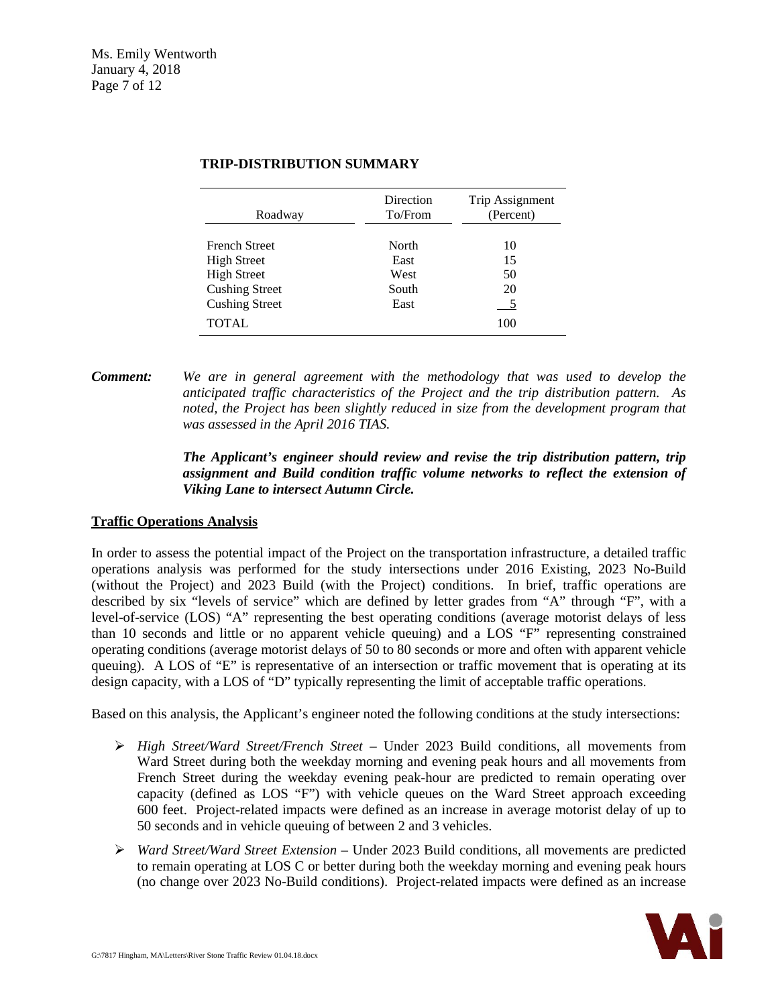| Roadway               | Direction<br>To/From | Trip Assignment<br>(Percent) |
|-----------------------|----------------------|------------------------------|
| <b>French Street</b>  | North                | 10                           |
| <b>High Street</b>    | East                 | 15                           |
| <b>High Street</b>    | West                 | 50                           |
| <b>Cushing Street</b> | South                | 20                           |
| <b>Cushing Street</b> | East                 |                              |
| <b>TOTAL</b>          |                      | 100                          |

# **TRIP-DISTRIBUTION SUMMARY**

*Comment: We are in general agreement with the methodology that was used to develop the anticipated traffic characteristics of the Project and the trip distribution pattern. As noted, the Project has been slightly reduced in size from the development program that was assessed in the April 2016 TIAS.*

# *The Applicant's engineer should review and revise the trip distribution pattern, trip assignment and Build condition traffic volume networks to reflect the extension of Viking Lane to intersect Autumn Circle.*

## **Traffic Operations Analysis**

In order to assess the potential impact of the Project on the transportation infrastructure, a detailed traffic operations analysis was performed for the study intersections under 2016 Existing, 2023 No-Build (without the Project) and 2023 Build (with the Project) conditions. In brief, traffic operations are described by six "levels of service" which are defined by letter grades from "A" through "F", with a level-of-service (LOS) "A" representing the best operating conditions (average motorist delays of less than 10 seconds and little or no apparent vehicle queuing) and a LOS "F" representing constrained operating conditions (average motorist delays of 50 to 80 seconds or more and often with apparent vehicle queuing). A LOS of "E" is representative of an intersection or traffic movement that is operating at its design capacity, with a LOS of "D" typically representing the limit of acceptable traffic operations.

Based on this analysis, the Applicant's engineer noted the following conditions at the study intersections:

- *High Street/Ward Street/French Street* Under 2023 Build conditions, all movements from Ward Street during both the weekday morning and evening peak hours and all movements from French Street during the weekday evening peak-hour are predicted to remain operating over capacity (defined as LOS "F") with vehicle queues on the Ward Street approach exceeding 600 feet. Project-related impacts were defined as an increase in average motorist delay of up to 50 seconds and in vehicle queuing of between 2 and 3 vehicles.
- *Ward Street/Ward Street Extension* Under 2023 Build conditions, all movements are predicted to remain operating at LOS C or better during both the weekday morning and evening peak hours (no change over 2023 No-Build conditions). Project-related impacts were defined as an increase

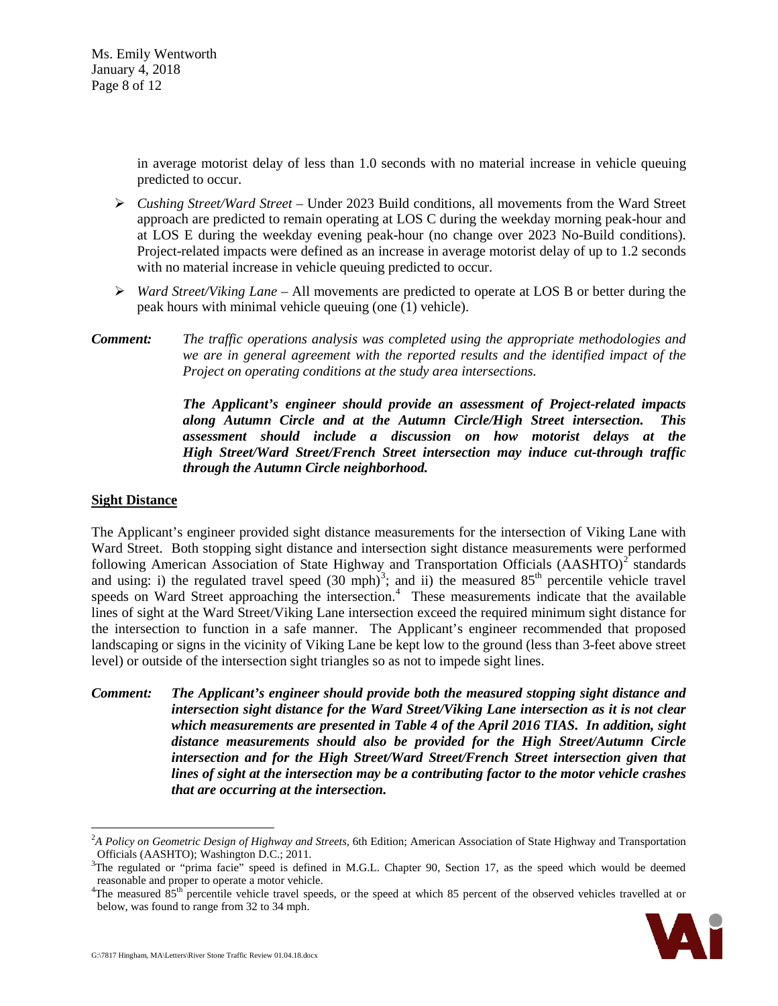Ms. Emily Wentworth January 4, 2018 Page 8 of 12

> in average motorist delay of less than 1.0 seconds with no material increase in vehicle queuing predicted to occur.

- *Cushing Street/Ward Street* Under 2023 Build conditions, all movements from the Ward Street approach are predicted to remain operating at LOS C during the weekday morning peak-hour and at LOS E during the weekday evening peak-hour (no change over 2023 No-Build conditions). Project-related impacts were defined as an increase in average motorist delay of up to 1.2 seconds with no material increase in vehicle queuing predicted to occur.
- *Ward Street/Viking Lane* All movements are predicted to operate at LOS B or better during the peak hours with minimal vehicle queuing (one (1) vehicle).
- *Comment: The traffic operations analysis was completed using the appropriate methodologies and we are in general agreement with the reported results and the identified impact of the Project on operating conditions at the study area intersections.*

*The Applicant's engineer should provide an assessment of Project-related impacts along Autumn Circle and at the Autumn Circle/High Street intersection. This assessment should include a discussion on how motorist delays at the High Street/Ward Street/French Street intersection may induce cut-through traffic through the Autumn Circle neighborhood.*

#### **Sight Distance**

The Applicant's engineer provided sight distance measurements for the intersection of Viking Lane with Ward Street. Both stopping sight distance and intersection sight distance measurements were performed following American Association of State Highway and Transportation Officials  $(AASHTO)^2$  $(AASHTO)^2$  standards and using: i) the regulated travel speed  $(30 \text{ mph})^3$  $(30 \text{ mph})^3$  $(30 \text{ mph})^3$ ; and ii) the measured  $85^{\text{th}}$  percentile vehicle travel speeds on Ward Street approaching the intersection.<sup>[4](#page-7-2)</sup> These measurements indicate that the available lines of sight at the Ward Street/Viking Lane intersection exceed the required minimum sight distance for the intersection to function in a safe manner. The Applicant's engineer recommended that proposed landscaping or signs in the vicinity of Viking Lane be kept low to the ground (less than 3-feet above street level) or outside of the intersection sight triangles so as not to impede sight lines.

*Comment: The Applicant's engineer should provide both the measured stopping sight distance and intersection sight distance for the Ward Street/Viking Lane intersection as it is not clear which measurements are presented in Table 4 of the April 2016 TIAS. In addition, sight distance measurements should also be provided for the High Street/Autumn Circle intersection and for the High Street/Ward Street/French Street intersection given that lines of sight at the intersection may be a contributing factor to the motor vehicle crashes that are occurring at the intersection.*

<span id="page-7-2"></span><sup>&</sup>lt;sup>4</sup>The measured 85<sup>th</sup> percentile vehicle travel speeds, or the speed at which 85 percent of the observed vehicles travelled at or below, was found to range from 32 to 34 mph.



<span id="page-7-0"></span> $\frac{1}{2}$ *A Policy on Geometric Design of Highway and Streets,* 6th Edition; American Association of State Highway and Transportation Officials (AASHTO); Washington D.C.; 2011. <sup>3</sup>

<span id="page-7-1"></span> $3$ The regulated or "prima facie" speed is defined in M.G.L. Chapter 90, Section 17, as the speed which would be deemed reasonable and proper to operate a motor vehicle.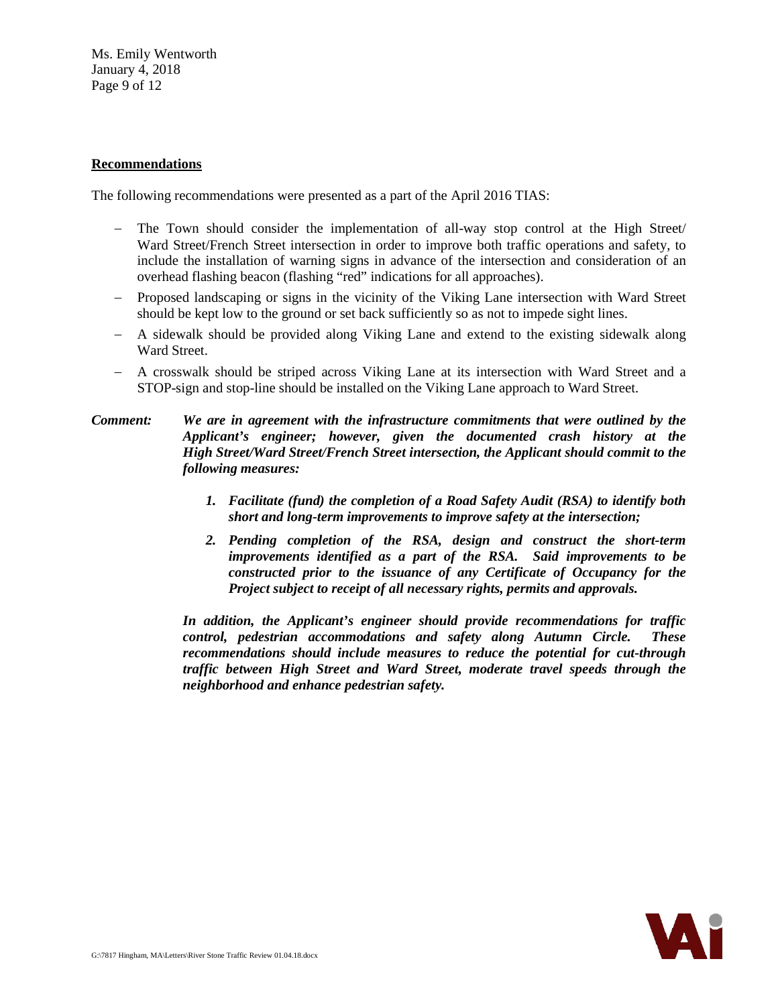Ms. Emily Wentworth January 4, 2018 Page 9 of 12

#### **Recommendations**

The following recommendations were presented as a part of the April 2016 TIAS:

- − The Town should consider the implementation of all-way stop control at the High Street/ Ward Street/French Street intersection in order to improve both traffic operations and safety, to include the installation of warning signs in advance of the intersection and consideration of an overhead flashing beacon (flashing "red" indications for all approaches).
- − Proposed landscaping or signs in the vicinity of the Viking Lane intersection with Ward Street should be kept low to the ground or set back sufficiently so as not to impede sight lines.
- − A sidewalk should be provided along Viking Lane and extend to the existing sidewalk along Ward Street.
- − A crosswalk should be striped across Viking Lane at its intersection with Ward Street and a STOP-sign and stop-line should be installed on the Viking Lane approach to Ward Street.

# *Comment: We are in agreement with the infrastructure commitments that were outlined by the Applicant's engineer; however, given the documented crash history at the High Street/Ward Street/French Street intersection, the Applicant should commit to the following measures:*

- *1. Facilitate (fund) the completion of a Road Safety Audit (RSA) to identify both short and long-term improvements to improve safety at the intersection;*
- *2. Pending completion of the RSA, design and construct the short-term improvements identified as a part of the RSA. Said improvements to be constructed prior to the issuance of any Certificate of Occupancy for the Project subject to receipt of all necessary rights, permits and approvals.*

*In addition, the Applicant's engineer should provide recommendations for traffic control, pedestrian accommodations and safety along Autumn Circle. These recommendations should include measures to reduce the potential for cut-through traffic between High Street and Ward Street, moderate travel speeds through the neighborhood and enhance pedestrian safety.*

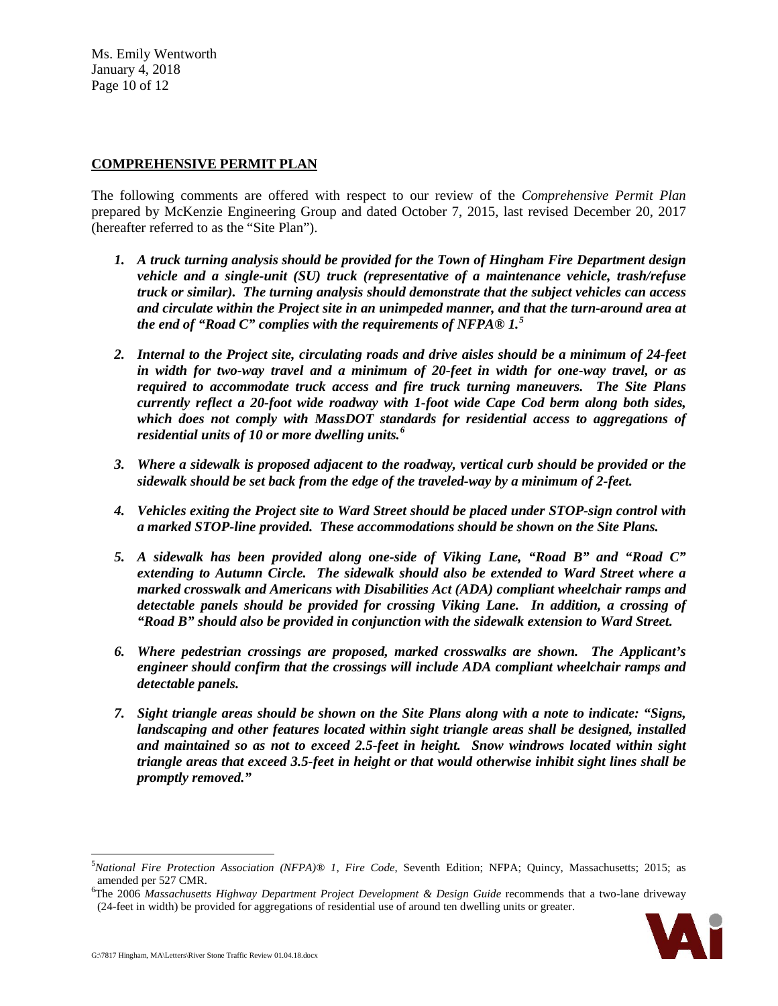Ms. Emily Wentworth January 4, 2018 Page 10 of 12

# **COMPREHENSIVE PERMIT PLAN**

The following comments are offered with respect to our review of the *Comprehensive Permit Plan* prepared by McKenzie Engineering Group and dated October 7, 2015, last revised December 20, 2017 (hereafter referred to as the "Site Plan").

- *1. A truck turning analysis should be provided for the Town of Hingham Fire Department design vehicle and a single-unit (SU) truck (representative of a maintenance vehicle, trash/refuse truck or similar). The turning analysis should demonstrate that the subject vehicles can access and circulate within the Project site in an unimpeded manner, and that the turn-around area at the end of "Road C" complies with the requirements of NFPA® 1. [5](#page-9-0)*
- *2. Internal to the Project site, circulating roads and drive aisles should be a minimum of 24-feet in width for two-way travel and a minimum of 20-feet in width for one-way travel, or as required to accommodate truck access and fire truck turning maneuvers. The Site Plans currently reflect a 20-foot wide roadway with 1-foot wide Cape Cod berm along both sides, which does not comply with MassDOT standards for residential access to aggregations of residential units of 10 or more dwelling units.[6](#page-9-1)*
- *3. Where a sidewalk is proposed adjacent to the roadway, vertical curb should be provided or the sidewalk should be set back from the edge of the traveled-way by a minimum of 2-feet.*
- *4. Vehicles exiting the Project site to Ward Street should be placed under STOP-sign control with a marked STOP-line provided. These accommodations should be shown on the Site Plans.*
- *5. A sidewalk has been provided along one-side of Viking Lane, "Road B" and "Road C" extending to Autumn Circle. The sidewalk should also be extended to Ward Street where a marked crosswalk and Americans with Disabilities Act (ADA) compliant wheelchair ramps and detectable panels should be provided for crossing Viking Lane. In addition, a crossing of "Road B" should also be provided in conjunction with the sidewalk extension to Ward Street.*
- *6. Where pedestrian crossings are proposed, marked crosswalks are shown. The Applicant's engineer should confirm that the crossings will include ADA compliant wheelchair ramps and detectable panels.*
- *7. Sight triangle areas should be shown on the Site Plans along with a note to indicate: "Signs, landscaping and other features located within sight triangle areas shall be designed, installed and maintained so as not to exceed 2.5-feet in height. Snow windrows located within sight triangle areas that exceed 3.5-feet in height or that would otherwise inhibit sight lines shall be promptly removed."*

<span id="page-9-1"></span><sup>6</sup> The 2006 *Massachusetts Highway Department Project Development & Design Guide* recommends that a two-lane driveway (24-feet in width) be provided for aggregations of residential use of around ten dwelling units or greater.



<span id="page-9-0"></span> <sup>5</sup> *National Fire Protection Association (NFPA)® 1, Fire Code*, Seventh Edition; NFPA; Quincy, Massachusetts; 2015; as amended per 527 CMR.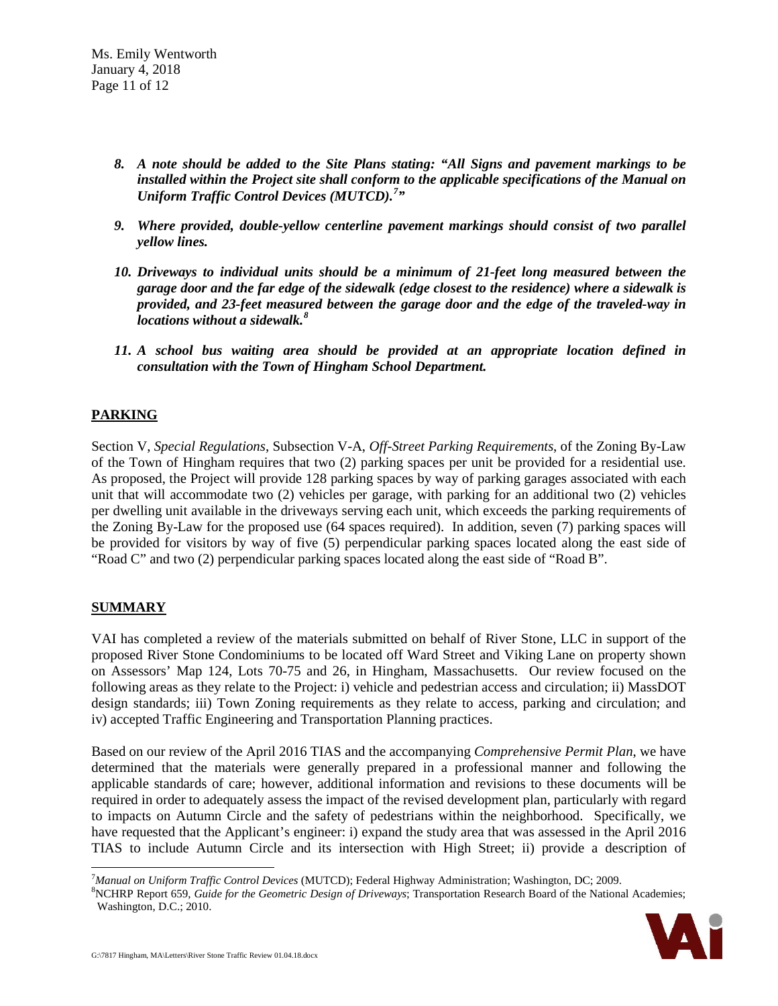- *8. A note should be added to the Site Plans stating: "All Signs and pavement markings to be installed within the Project site shall conform to the applicable specifications of the Manual on Uniform Traffic Control Devices (MUTCD).[7](#page-10-0) "*
- *9. Where provided, double-yellow centerline pavement markings should consist of two parallel yellow lines.*
- *10. Driveways to individual units should be a minimum of 21-feet long measured between the garage door and the far edge of the sidewalk (edge closest to the residence) where a sidewalk is provided, and 23-feet measured between the garage door and the edge of the traveled-way in locations without a sidewalk. [8](#page-10-1)*
- *11. A school bus waiting area should be provided at an appropriate location defined in consultation with the Town of Hingham School Department.*

# **PARKING**

Section V, *Special Regulations*, Subsection V-A, *Off-Street Parking Requirements*, of the Zoning By-Law of the Town of Hingham requires that two (2) parking spaces per unit be provided for a residential use. As proposed, the Project will provide 128 parking spaces by way of parking garages associated with each unit that will accommodate two (2) vehicles per garage, with parking for an additional two (2) vehicles per dwelling unit available in the driveways serving each unit, which exceeds the parking requirements of the Zoning By-Law for the proposed use (64 spaces required). In addition, seven (7) parking spaces will be provided for visitors by way of five (5) perpendicular parking spaces located along the east side of "Road C" and two (2) perpendicular parking spaces located along the east side of "Road B".

# **SUMMARY**

VAI has completed a review of the materials submitted on behalf of River Stone, LLC in support of the proposed River Stone Condominiums to be located off Ward Street and Viking Lane on property shown on Assessors' Map 124, Lots 70-75 and 26, in Hingham, Massachusetts. Our review focused on the following areas as they relate to the Project: i) vehicle and pedestrian access and circulation; ii) MassDOT design standards; iii) Town Zoning requirements as they relate to access, parking and circulation; and iv) accepted Traffic Engineering and Transportation Planning practices.

Based on our review of the April 2016 TIAS and the accompanying *Comprehensive Permit Plan*, we have determined that the materials were generally prepared in a professional manner and following the applicable standards of care; however, additional information and revisions to these documents will be required in order to adequately assess the impact of the revised development plan, particularly with regard to impacts on Autumn Circle and the safety of pedestrians within the neighborhood. Specifically, we have requested that the Applicant's engineer: i) expand the study area that was assessed in the April 2016 TIAS to include Autumn Circle and its intersection with High Street; ii) provide a description of

<span id="page-10-1"></span><span id="page-10-0"></span><sup>&</sup>lt;sup>8</sup>NCHRP Report 659, *Guide for the Geometric Design of Driveways*; Transportation Research Board of the National Academies; Washington, D.C.; 2010.



<sup>-&</sup>lt;br>7 *Manual on Uniform Traffic Control Devices* (MUTCD); Federal Highway Administration; Washington, DC; 2009. <sup>8</sup>